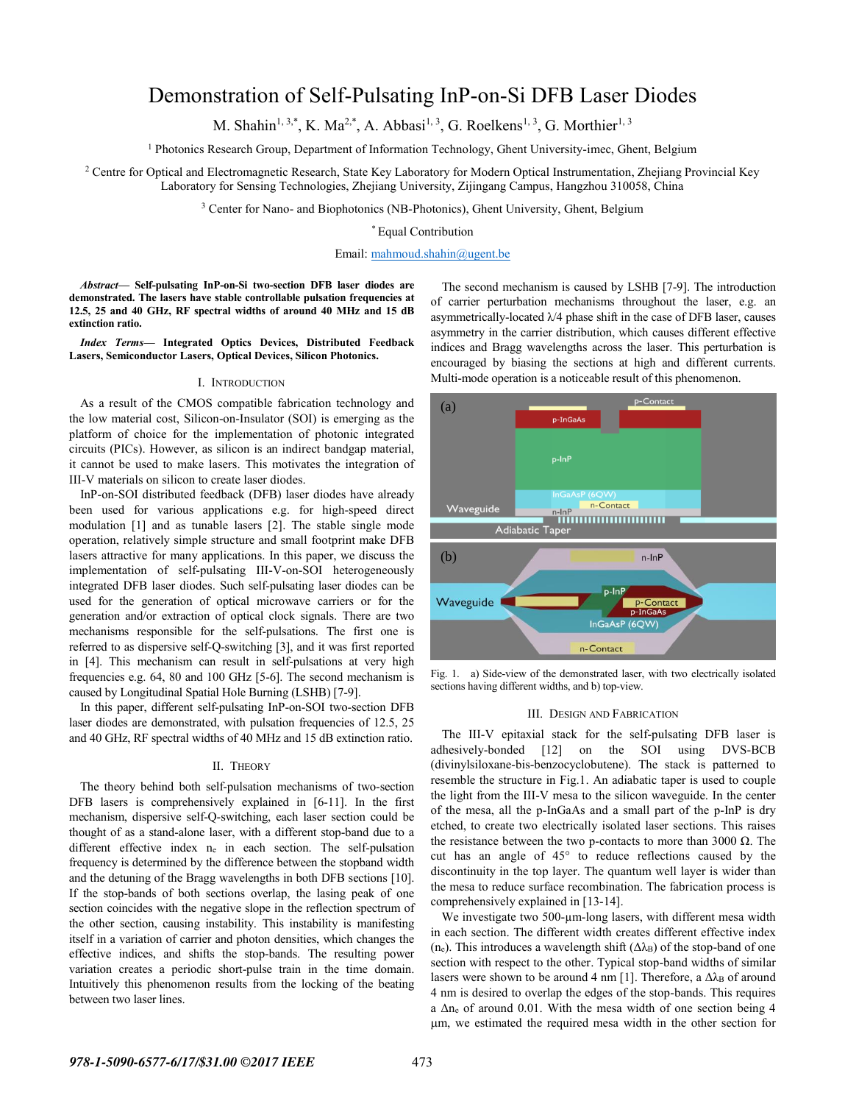# Demonstration of Self-Pulsating InP-on-Si DFB Laser Diodes

M. Shahin<sup>1, 3,\*</sup>, K. Ma<sup>2,\*</sup>, A. Abbasi<sup>1, 3</sup>, G. Roelkens<sup>1, 3</sup>, G. Morthier<sup>1, 3</sup>

<sup>1</sup> Photonics Research Group, Department of Information Technology, Ghent University-imec, Ghent, Belgium

<sup>2</sup> Centre for Optical and Electromagnetic Research, State Key Laboratory for Modern Optical Instrumentation, Zhejiang Provincial Key Laboratory for Sensing Technologies, Zhejiang University, Zijingang Campus, Hangzhou 310058, China

<sup>3</sup> Center for Nano- and Biophotonics (NB-Photonics), Ghent University, Ghent, Belgium

## \* Equal Contribution

Email[: mahmoud.shahin@ugent.be](mailto:mahmoud.shahin@ugent.be)

*Abstract***— Self-pulsating InP-on-Si two-section DFB laser diodes are demonstrated. The lasers have stable controllable pulsation frequencies at 12.5, 25 and 40 GHz, RF spectral widths of around 40 MHz and 15 dB extinction ratio.** 

*Index Terms***— Integrated Optics Devices, Distributed Feedback Lasers, Semiconductor Lasers, Optical Devices, Silicon Photonics.** 

# I. INTRODUCTION

As a result of the CMOS compatible fabrication technology and the low material cost, Silicon-on-Insulator (SOI) is emerging as the platform of choice for the implementation of photonic integrated circuits (PICs). However, as silicon is an indirect bandgap material, it cannot be used to make lasers. This motivates the integration of III-V materials on silicon to create laser diodes.

InP-on-SOI distributed feedback (DFB) laser diodes have already been used for various applications e.g. for high-speed direct modulation [1] and as tunable lasers [2]. The stable single mode operation, relatively simple structure and small footprint make DFB lasers attractive for many applications. In this paper, we discuss the implementation of self-pulsating III-V-on-SOI heterogeneously integrated DFB laser diodes. Such self-pulsating laser diodes can be used for the generation of optical microwave carriers or for the generation and/or extraction of optical clock signals. There are two mechanisms responsible for the self-pulsations. The first one is referred to as dispersive self-Q-switching [3], and it was first reported in [4]. This mechanism can result in self-pulsations at very high frequencies e.g. 64, 80 and 100 GHz [5-6]. The second mechanism is caused by Longitudinal Spatial Hole Burning (LSHB) [7-9].

In this paper, different self-pulsating InP-on-SOI two-section DFB laser diodes are demonstrated, with pulsation frequencies of 12.5, 25 and 40 GHz, RF spectral widths of 40 MHz and 15 dB extinction ratio.

## II. THEORY

The theory behind both self-pulsation mechanisms of two-section DFB lasers is comprehensively explained in [6-11]. In the first mechanism, dispersive self-Q-switching, each laser section could be thought of as a stand-alone laser, with a different stop-band due to a different effective index ne in each section. The self-pulsation frequency is determined by the difference between the stopband width and the detuning of the Bragg wavelengths in both DFB sections [10]. If the stop-bands of both sections overlap, the lasing peak of one section coincides with the negative slope in the reflection spectrum of the other section, causing instability. This instability is manifesting itself in a variation of carrier and photon densities, which changes the effective indices, and shifts the stop-bands. The resulting power variation creates a periodic short-pulse train in the time domain. Intuitively this phenomenon results from the locking of the beating between two laser lines.

The second mechanism is caused by LSHB [7-9]. The introduction of carrier perturbation mechanisms throughout the laser, e.g. an asymmetrically-located  $\lambda$ /4 phase shift in the case of DFB laser, causes asymmetry in the carrier distribution, which causes different effective indices and Bragg wavelengths across the laser. This perturbation is encouraged by biasing the sections at high and different currents. Multi-mode operation is a noticeable result of this phenomenon.



Fig. 1. a) Side-view of the demonstrated laser, with two electrically isolated sections having different widths, and b) top-view.

## III. DESIGN AND FABRICATION

The III-V epitaxial stack for the self-pulsating DFB laser is adhesively-bonded [12] on the SOI using DVS-BCB (divinylsiloxane-bis-benzocyclobutene). The stack is patterned to resemble the structure in Fig.1. An adiabatic taper is used to couple the light from the III-V mesa to the silicon waveguide. In the center of the mesa, all the p-InGaAs and a small part of the p-InP is dry etched, to create two electrically isolated laser sections. This raises the resistance between the two p-contacts to more than 3000  $Ω$ . The cut has an angle of 45° to reduce reflections caused by the discontinuity in the top layer. The quantum well layer is wider than the mesa to reduce surface recombination. The fabrication process is comprehensively explained in [13-14].

We investigate two 500-um-long lasers, with different mesa width in each section. The different width creates different effective index (ne). This introduces a wavelength shift  $(\Delta \lambda_B)$  of the stop-band of one section with respect to the other. Typical stop-band widths of similar lasers were shown to be around 4 nm [1]. Therefore, a  $\Delta\lambda_B$  of around 4 nm is desired to overlap the edges of the stop-bands. This requires a  $\Delta n_e$  of around 0.01. With the mesa width of one section being 4 m, we estimated the required mesa width in the other section for